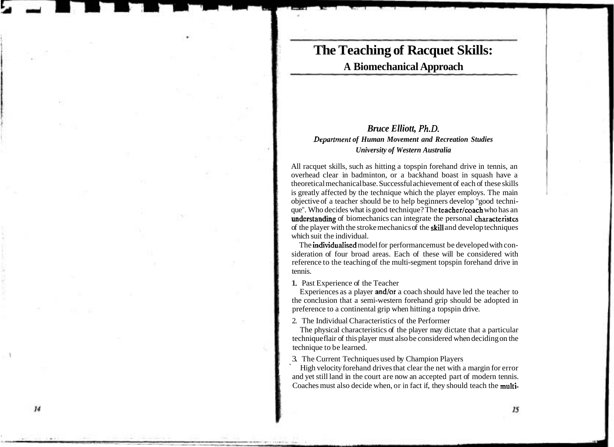## **The Teaching of Racquet Skills: A Biomechanical Approach**

## *Bruce Elliott, Ph.D. Departrnent of Human Movement and Recreation Studies University of Western Australia*

All racquet skills, such as hitting a topspin forehand drive in tennis, an overhead clear in badminton, or a backhand boast in squash have a theoretical mechanical base. Successful achievement of each of these skills is greatly affected by the technique which the player employs. The main objective of a teacher should be to help beginners develop "good technique". Who decides what is good technique? The teacher/coach who has an understanding of biomechanics can integrate the personal characteristcs of the player with the stroke mechanics of the ski1 and develop techniques which suit the individual.

The individualised model for performancemust be developed with consideration of four broad areas. Each of these will be considered with reference to the teaching of the multi-segment topspin forehand drive in tennis.

1. Past Experience of the Teacher

Experiences as a player and/or a coach should have led the teacher to the conclusion that a semi-western forehand grip should be adopted in , preference to a continental grip when hitting a topspin drive.

2. The Individual Characteristics of the Performer

The physical characteristics of the player may dictate that a particular technique flair of this player must also be considered when deciding on the technique to be learned.

3. The Current Techniques used by Champion Players<br>High velocity forehand drives that clear the net with a margin for error and yet still land in the court are now an accepted part of modern tennis. Coaches must also decide when, or in fact if, they should teach the multi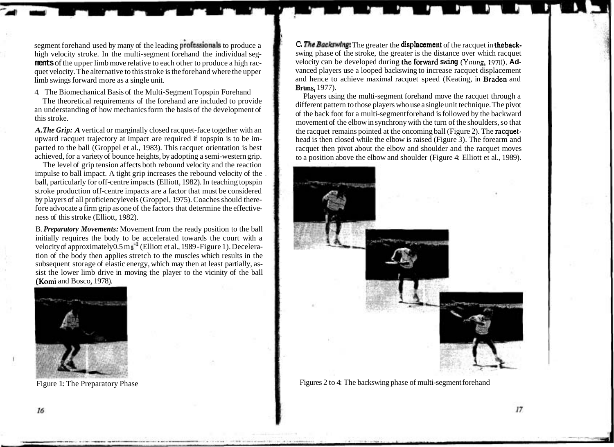segment forehand used by many of the leading **professionals** to produce a high velocity stroke. In the multi-segment forehand the individual seg**ments** of the upper limb move relative to each other to produce a high racquet velocity. The alternative to this stroke is the forehand where the upper limb swings forward more as a single unit.

4. The Biomechanical Basis of the Multi-Segment Topspin Forehand

The theoretical requirements of the forehand are included to provide an understanding of how mechanics form the basis of the development of this stroke.

*A. The Grip: A* vertical or marginally closed racquet-face together with an upward racquet trajectory at impact are required if topspin is to be imparted to the ball (Groppel et al., 1983). This racquet orientation is best achieved, for a variety of bounce heights, by adopting a semi-western grip.

The level of grip tension affects both rebound velocity and the reaction impulse to ball impact. A tight grip increases the rebound velocity of the . ball, particularly for off-centre impacts (Elliott, 1982). In teaching topspin stroke production off-centre impacts are a factor that must be considered by players of all proficiency levels (Groppel, 1975). Coaches should therefore advocate a firm grip as one of the factors that determine the effectiveness of this stroke (Elliott, 1982).

B. *Preparatory Movements:* Movement from the ready position to the ball initially requires the body to be accelerated towards the court with a velocity of approximately $0.5 \text{ m s}^{-1}$  (Elliott et al., 1989 - Figure 1). Deceleration of the body then applies stretch to the muscles which results in the subsequent storage of elastic energy, which may then at least partially, assist the lower limb drive in moving the player to the vicinity of the ball (Komi and Bosco, 1978).



Figure 1: The Preparatory Phase

**C. The Backswing:** The greater the **displacement** of the racquet in **the back**swing phase of the stroke, the greater is the distance over which racquet velocity can be developed during the forward swing *(Young, 1970)*, Advanced players use a looped backswing to increase racquet displacement and hence to achieve maximal racquet speed (Keating, in Braden and Bruns, 1977).

i

Players using the multi-segment forehand move the racquet through a different pattern to those players who use a single unit technique. The pivot of the back foot for a multi-segment forehand is followed by the backward movement of the elbow in synchrony with the turn of the shoulders, so that the racquet remains pointed at the oncoming ball (Figure 2). The racquethead is then closed while the elbow is raised (Figure 3). The forearm and racquet then pivot about the elbow and shoulder and the racquet moves to a position above the elbow and shoulder (Figure 4: Elliott et al., 1989).



Figures 2 to 4: The backswing phase of multi-segment forehand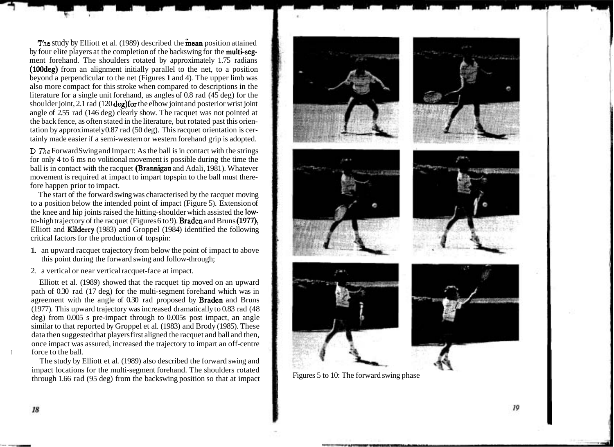**The** study by Elliott et al. (1989) described the **mean** position attained by four elite players at the completion of the backswing for the multi-segment forehand. The shoulders rotated by approximately 1.75 radians (100deg) from an alignment initially parallel to the net, to a position beyond a perpendicular to the net (Figures 1 and 4). The upper limb was also more compact for this stroke when compared to descriptions in the literature for a single unit forehand, as angles of 0.8 rad (45 deg) for the shoulder joint, 2.1 rad  $(120 \text{deg})$  for the elbow joint and posterior wrist joint angle of 2.55 rad (146 deg) clearly show. The racquet was not pointed at the back fence, as often stated in the literature, but rotated past this orientation by approximately 0.87 rad (50 deg). This racquet orientation is certainly made easier if a semi-western or western forehand grip is adopted.

**D.7he** Forward Swing and Impact: As the ball is in contact with the strings for only 4 to 6 ms no volitional movement is possible during the time the ball is in contact with the racquet (Bramigan and Adali, 1981). Whatever movement is required at impact to impart topspin to the ball must therefore happen prior to impact.

The start of the forward swing was characterised by the racquet moving to a position below the intended point of impact (Figure 5). Extension of the knee and hip joints raised the hitting-shoulder which assisted the lowto-high trajectory of the racquet (Figures 6 to 9). Braden and Bruns (1977), Elliott and Kilderry (1983) and Groppel (1984) identified the following critical factors for the production of topspin:

- 1. an upward racquet trajectory from below the point of impact to above this point during the forward swing and follow-through;
- 2. a vertical or near vertical racquet-face at impact.

Elliott et al. (1989) showed that the racquet tip moved on an upward path of 0.30 rad (17 deg) for the multi-segment forehand which was in agreement with the angle of 0.30 rad proposed by Braden and Bruns (1977). This upward trajectory was increased dramatically to 0.83 rad (48 deg) from 0.005 s pre-impact through to 0.005s post impact, an angle similar to that reported by Groppel et al. (1983) and Brody (1985). These data then suggested that players first aligned the racquet and ball and then, once impact was assured, increased the trajectory to impart an off-centre force to the ball.

The study by Elliott et al. (1989) also described the forward swing and impact locations for the multi-segment forehand. The shoulders rotated through 1.66 rad (95 deg) from the backswing position so that at impact Figures 5 to 10: The forward swing phase